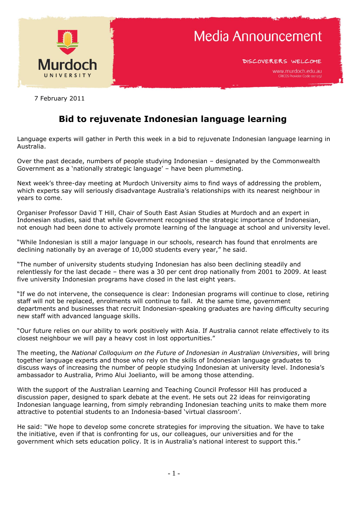

DISCOVERERS WELCOME

7 February 2011

## **Bid to rejuvenate Indonesian language learning**

Language experts will gather in Perth this week in a bid to rejuvenate Indonesian language learning in Australia.

Over the past decade, numbers of people studying Indonesian – designated by the Commonwealth Government as a "nationally strategic language" – have been plummeting.

Next week's three-day meeting at Murdoch University aims to find ways of addressing the problem, which experts say will seriously disadvantage Australia's relationships with its nearest neighbour in years to come.

Organiser Professor David T Hill, Chair of South East Asian Studies at Murdoch and an expert in Indonesian studies, said that while Government recognised the strategic importance of Indonesian, not enough had been done to actively promote learning of the language at school and university level.

"While Indonesian is still a major language in our schools, research has found that enrolments are declining nationally by an average of 10,000 students every year," he said.

"The number of university students studying Indonesian has also been declining steadily and relentlessly for the last decade – there was a 30 per cent drop nationally from 2001 to 2009. At least five university Indonesian programs have closed in the last eight years.

"If we do not intervene, the consequence is clear: Indonesian programs will continue to close, retiring staff will not be replaced, enrolments will continue to fall. At the same time, government departments and businesses that recruit Indonesian-speaking graduates are having difficulty securing new staff with advanced language skills.

"Our future relies on our ability to work positively with Asia. If Australia cannot relate effectively to its closest neighbour we will pay a heavy cost in lost opportunities."

The meeting, the *National Colloquium on the Future of Indonesian in Australian Universities*, will bring together language experts and those who rely on the skills of Indonesian language graduates to discuss ways of increasing the number of people studying Indonesian at university level. Indonesia"s ambassador to Australia, Primo Alui Joelianto, will be among those attending.

With the support of the Australian Learning and Teaching Council Professor Hill has produced a discussion paper, designed to spark debate at the event. He sets out 22 ideas for reinvigorating Indonesian language learning, from simply rebranding Indonesian teaching units to make them more attractive to potential students to an Indonesia-based "virtual classroom".

He said: "We hope to develop some concrete strategies for improving the situation. We have to take the initiative, even if that is confronting for us, our colleagues, our universities and for the government which sets education policy. It is in Australia's national interest to support this."